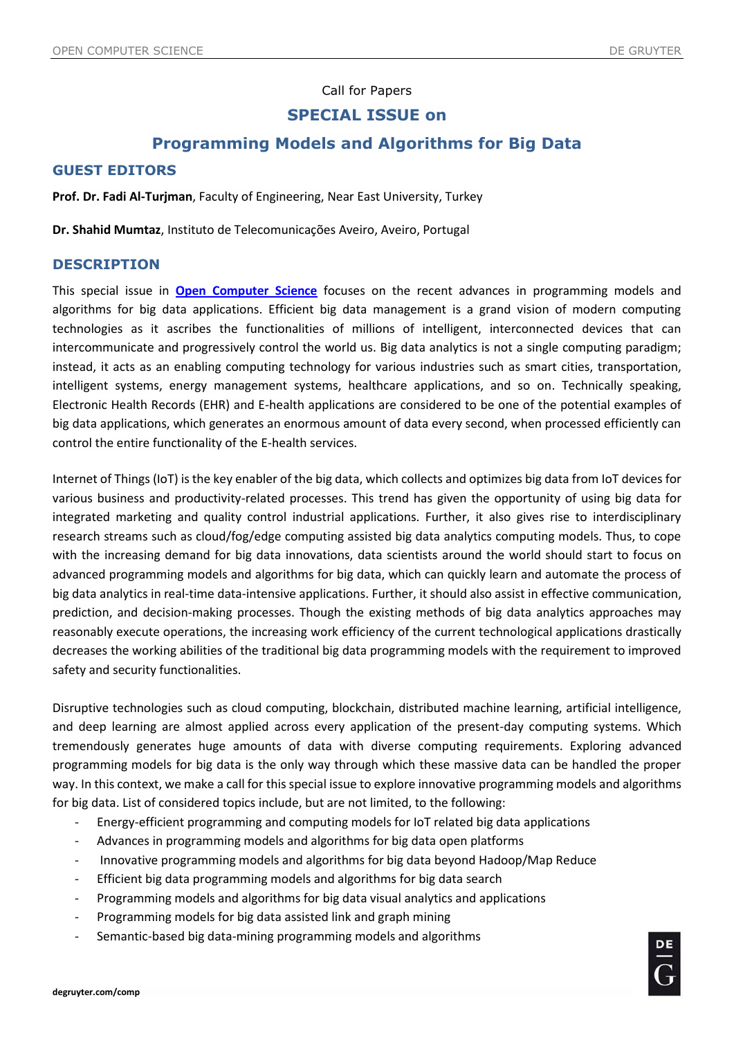#### Call for Papers

## **SPECIAL ISSUE on**

# **Programming Models and Algorithms for Big Data**

#### **GUEST EDITORS**

**Prof. Dr. Fadi Al-Turjman**, Faculty of Engineering, Near East University, Turkey

**Dr. Shahid Mumtaz**, Instituto de Telecomunicações Aveiro, Aveiro, Portugal

#### **DESCRIPTION**

This special issue in **[Open Computer Science](https://www.degruyter.com/journal/key/comp/html)** focuses on the recent advances in programming models and algorithms for big data applications. Efficient big data management is a grand vision of modern computing technologies as it ascribes the functionalities of millions of intelligent, interconnected devices that can intercommunicate and progressively control the world us. Big data analytics is not a single computing paradigm; instead, it acts as an enabling computing technology for various industries such as smart cities, transportation, intelligent systems, energy management systems, healthcare applications, and so on. Technically speaking, Electronic Health Records (EHR) and E-health applications are considered to be one of the potential examples of big data applications, which generates an enormous amount of data every second, when processed efficiently can control the entire functionality of the E-health services.

Internet of Things (IoT) is the key enabler of the big data, which collects and optimizes big data from IoT devices for various business and productivity-related processes. This trend has given the opportunity of using big data for integrated marketing and quality control industrial applications. Further, it also gives rise to interdisciplinary research streams such as cloud/fog/edge computing assisted big data analytics computing models. Thus, to cope with the increasing demand for big data innovations, data scientists around the world should start to focus on advanced programming models and algorithms for big data, which can quickly learn and automate the process of big data analytics in real-time data-intensive applications. Further, it should also assist in effective communication, prediction, and decision-making processes. Though the existing methods of big data analytics approaches may reasonably execute operations, the increasing work efficiency of the current technological applications drastically decreases the working abilities of the traditional big data programming models with the requirement to improved safety and security functionalities.

Disruptive technologies such as cloud computing, blockchain, distributed machine learning, artificial intelligence, and deep learning are almost applied across every application of the present-day computing systems. Which tremendously generates huge amounts of data with diverse computing requirements. Exploring advanced programming models for big data is the only way through which these massive data can be handled the proper way. In this context, we make a call for this special issue to explore innovative programming models and algorithms for big data. List of considered topics include, but are not limited, to the following:

- Energy-efficient programming and computing models for IoT related big data applications
- Advances in programming models and algorithms for big data open platforms
- Innovative programming models and algorithms for big data beyond Hadoop/Map Reduce
- Efficient big data programming models and algorithms for big data search
- Programming models and algorithms for big data visual analytics and applications
- Programming models for big data assisted link and graph mining
- Semantic-based big data-mining programming models and algorithms